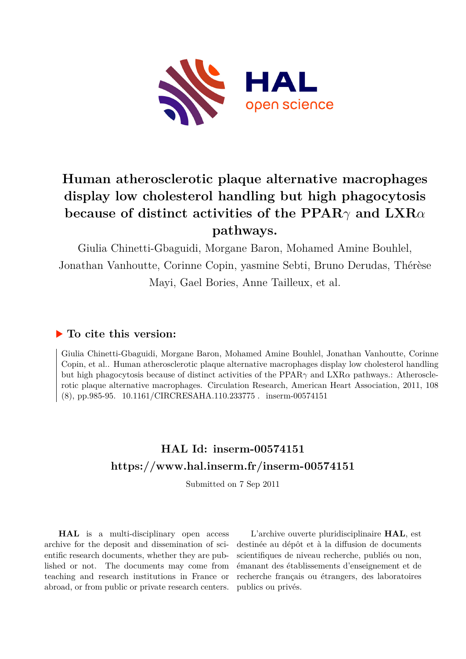

# **Human atherosclerotic plaque alternative macrophages display low cholesterol handling but high phagocytosis because of distinct activities of the PPAR***γ* **and LXR***α* **pathways.**

Giulia Chinetti-Gbaguidi, Morgane Baron, Mohamed Amine Bouhlel, Jonathan Vanhoutte, Corinne Copin, yasmine Sebti, Bruno Derudas, Thérèse Mayi, Gael Bories, Anne Tailleux, et al.

## **To cite this version:**

Giulia Chinetti-Gbaguidi, Morgane Baron, Mohamed Amine Bouhlel, Jonathan Vanhoutte, Corinne Copin, et al.. Human atherosclerotic plaque alternative macrophages display low cholesterol handling but high phagocytosis because of distinct activities of the PPAR*γ* and LXR*α* pathways.: Atherosclerotic plaque alternative macrophages. Circulation Research, American Heart Association, 2011, 108 (8), pp.985-95.  $10.1161/CIRCRESAHA.110.233775$ . inserm-00574151

## **HAL Id: inserm-00574151 <https://www.hal.inserm.fr/inserm-00574151>**

Submitted on 7 Sep 2011

**HAL** is a multi-disciplinary open access archive for the deposit and dissemination of scientific research documents, whether they are published or not. The documents may come from teaching and research institutions in France or abroad, or from public or private research centers.

L'archive ouverte pluridisciplinaire **HAL**, est destinée au dépôt et à la diffusion de documents scientifiques de niveau recherche, publiés ou non, émanant des établissements d'enseignement et de recherche français ou étrangers, des laboratoires publics ou privés.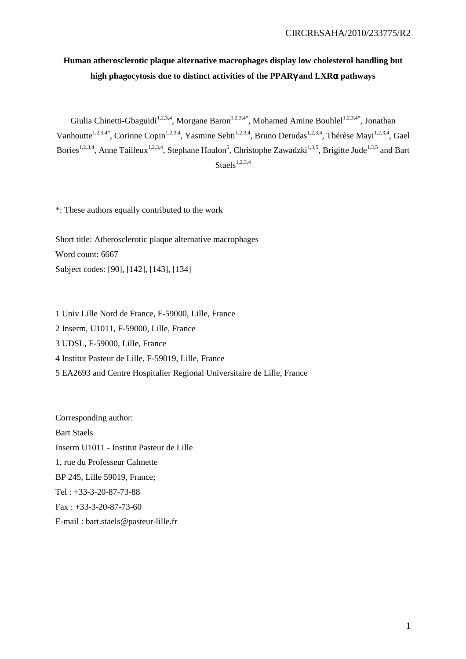## **Human atherosclerotic plaque alternative macrophages display low cholesterol handling but high phagocytosis due to distinct activities of the PPAR**γ **and LXR**α **pathways**

Giulia Chinetti-Gbaguidi<sup>1,2,3,4</sup>, Morgane Baron<sup>1,2,3,4\*</sup>, Mohamed Amine Bouhlel<sup>1,2,3,4\*</sup>, Jonathan Vanhoutte<sup>1,2,3,4\*</sup>, Corinne Copin<sup>1,2,3,4</sup>, Yasmine Sebti<sup>1,2,3,4</sup>, Bruno Derudas<sup>1,2,3,4</sup>, Thérèse Mayi<sup>1,2,3,4</sup>, Gael Bories<sup>1,2,3,4</sup>, Anne Tailleux<sup>1,2,3,4</sup>, Stephane Haulon<sup>5</sup>, Christophe Zawadzki<sup>1,3,5</sup>, Brigitte Jude<sup>1,3,5</sup> and Bart Staels $^{1,2,3,4}$ 

\*: These authors equally contributed to the work

Short title: Atherosclerotic plaque alternative macrophages Word count: 6667 Subject codes: [90], [142], [143], [134]

1 Univ Lille Nord de France, F-59000, Lille, France 2 Inserm, U1011, F-59000, Lille, France 3 UDSL, F-59000, Lille, France 4 Institut Pasteur de Lille, F-59019, Lille, France 5 EA2693 and Centre Hospitalier Regional Universitaire de Lille, France

Corresponding author: Bart Staels Inserm U1011 - Institut Pasteur de Lille 1, rue du Professeur Calmette BP 245, Lille 59019, France; Tel : +33-3-20-87-73-88 Fax : +33-3-20-87-73-60 E-mail : bart.staels@pasteur-lille.fr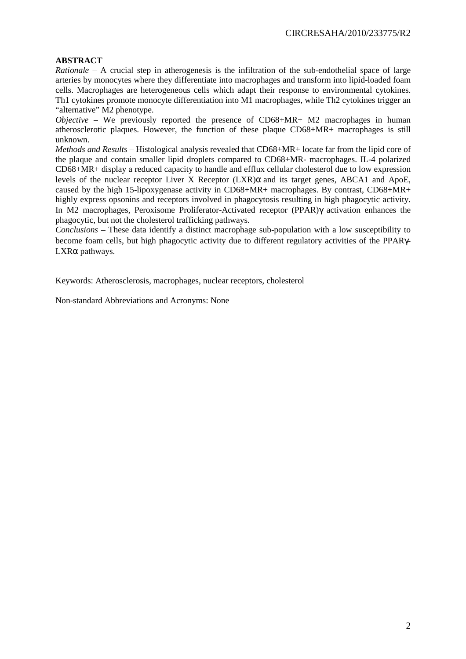#### **ABSTRACT**

*Rationale –* A crucial step in atherogenesis is the infiltration of the sub-endothelial space of large arteries by monocytes where they differentiate into macrophages and transform into lipid-loaded foam cells. Macrophages are heterogeneous cells which adapt their response to environmental cytokines. Th1 cytokines promote monocyte differentiation into M1 macrophages, while Th2 cytokines trigger an "alternative" M2 phenotype.

*Objective –* We previously reported the presence of CD68+MR+ M2 macrophages in human atherosclerotic plaques. However, the function of these plaque CD68+MR+ macrophages is still unknown.

*Methods and Results –* Histological analysis revealed that CD68+MR+ locate far from the lipid core of the plaque and contain smaller lipid droplets compared to CD68+MR- macrophages. IL-4 polarized CD68+MR+ display a reduced capacity to handle and efflux cellular cholesterol due to low expression levels of the nuclear receptor Liver X Receptor  $(LXR)$ α and its target genes. ABCA1 and ApoE, caused by the high 15-lipoxygenase activity in CD68+MR+ macrophages. By contrast, CD68+MR+ highly express opsonins and receptors involved in phagocytosis resulting in high phagocytic activity. In M2 macrophages, Peroxisome Proliferator-Activated receptor (PPAR)γ activation enhances the phagocytic, but not the cholesterol trafficking pathways.

*Conclusions –* These data identify a distinct macrophage sub-population with a low susceptibility to become foam cells, but high phagocytic activity due to different regulatory activities of the PPARγ-LXRα pathways.

Keywords: Atherosclerosis, macrophages, nuclear receptors, cholesterol

Non-standard Abbreviations and Acronyms: None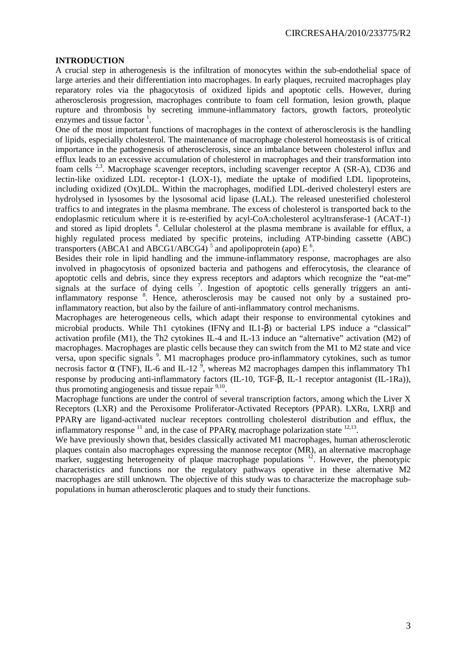#### **INTRODUCTION**

A crucial step in atherogenesis is the infiltration of monocytes within the sub-endothelial space of large arteries and their differentiation into macrophages. In early plaques, recruited macrophages play reparatory roles via the phagocytosis of oxidized lipids and apoptotic cells. However, during atherosclerosis progression, macrophages contribute to foam cell formation, lesion growth, plaque rupture and thrombosis by secreting immune-inflammatory factors, growth factors, proteolytic enzymes and tissue factor  $\frac{1}{1}$ .

One of the most important functions of macrophages in the context of atherosclerosis is the handling of lipids, especially cholesterol. The maintenance of macrophage cholesterol homeostasis is of critical importance in the pathogenesis of atherosclerosis, since an imbalance between cholesterol influx and efflux leads to an excessive accumulation of cholesterol in macrophages and their transformation into foam cells  $2.3$ . Macrophage scavenger receptors, including scavenger receptor A (SR-A), CD36 and lectin-like oxidized LDL receptor-1 (LOX-1), mediate the uptake of modified LDL lipoproteins, including oxidized (Ox)LDL. Within the macrophages, modified LDL-derived cholesteryl esters are hydrolysed in lysosomes by the lysosomal acid lipase (LAL). The released unesterified cholesterol traffics to and integrates in the plasma membrane. The excess of cholesterol is transported back to the endoplasmic reticulum where it is re-esterified by acyl-CoA:cholesterol acyltransferase-1 (ACAT-1) and stored as lipid droplets<sup>4</sup>. Cellular cholesterol at the plasma membrane is available for efflux, a highly regulated process mediated by specific proteins, including ATP-binding cassette (ABC) transporters (ABCA1 and ABCG1/ABCG4)<sup>5</sup> and apolipoprotein (apo)  $E<sup>6</sup>$ .

Besides their role in lipid handling and the immune-inflammatory response, macrophages are also involved in phagocytosis of opsonized bacteria and pathogens and efferocytosis, the clearance of apoptotic cells and debris, since they express receptors and adaptors which recognize the "eat-me" signals at the surface of dying cells  $\frac{7}{1}$ . Ingestion of apoptotic cells generally triggers an antiinflammatory response <sup>8</sup>. Hence, atherosclerosis may be caused not only by a sustained proinflammatory reaction, but also by the failure of anti-inflammatory control mechanisms.

Macrophages are heterogeneous cells, which adapt their response to environmental cytokines and microbial products. While Th1 cytokines (IFNγ and IL1-β) or bacterial LPS induce a "classical" activation profile (M1), the Th2 cytokines IL-4 and IL-13 induce an "alternative" activation (M2) of macrophages. Macrophages are plastic cells because they can switch from the M1 to M2 state and vice versa, upon specific signals <sup>9</sup>. M1 macrophages produce pro-inflammatory cytokines, such as tumor necrosis factor α (TNF), IL-6 and IL-12<sup>9</sup>, whereas M2 macrophages dampen this inflammatory Th1 response by producing anti-inflammatory factors (IL-10, TGF-β, IL-1 receptor antagonist (IL-1Ra)), thus promoting angiogenesis and tissue repair  $9,10$ .

Macrophage functions are under the control of several transcription factors, among which the Liver X Receptors (LXR) and the Peroxisome Proliferator-Activated Receptors (PPAR). LXRα, LXRβ and PPARγ are ligand-activated nuclear receptors controlling cholesterol distribution and efflux, the inflammatory response  $^{11}$  and, in the case of PPAR $\gamma$ , macrophage polarization state  $^{12,13}$ .

We have previously shown that, besides classically activated M1 macrophages, human atherosclerotic plaques contain also macrophages expressing the mannose receptor (MR), an alternative macrophage marker, suggesting heterogeneity of plaque macrophage populations  $12$ . However, the phenotypic characteristics and functions nor the regulatory pathways operative in these alternative M2 macrophages are still unknown. The objective of this study was to characterize the macrophage subpopulations in human atherosclerotic plaques and to study their functions.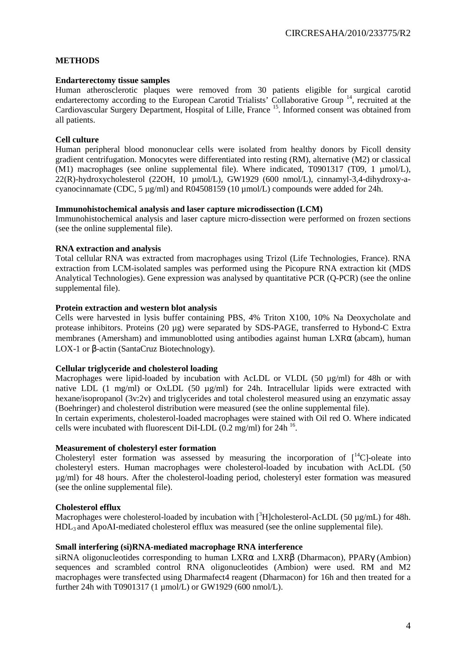#### **METHODS**

#### **Endarterectomy tissue samples**

Human atherosclerotic plaques were removed from 30 patients eligible for surgical carotid endarterectomy according to the European Carotid Trialists' Collaborative Group <sup>14</sup>, recruited at the Cardiovascular Surgery Department, Hospital of Lille, France <sup>15</sup>. Informed consent was obtained from all patients.

#### **Cell culture**

Human peripheral blood mononuclear cells were isolated from healthy donors by Ficoll density gradient centrifugation. Monocytes were differentiated into resting (RM), alternative (M2) or classical (M1) macrophages (see online supplemental file). Where indicated, T0901317 (T09, 1 µmol/L), 22(R)-hydroxycholesterol (22OH, 10 µmol/L), GW1929 (600 nmol/L), cinnamyl-3,4-dihydroxy-acyanocinnamate (CDC,  $5 \mu g/ml$ ) and R04508159 (10  $\mu$ mol/L) compounds were added for 24h.

#### **Immunohistochemical analysis and laser capture microdissection (LCM)**

Immunohistochemical analysis and laser capture micro-dissection were performed on frozen sections (see the online supplemental file).

#### **RNA extraction and analysis**

Total cellular RNA was extracted from macrophages using Trizol (Life Technologies, France). RNA extraction from LCM-isolated samples was performed using the Picopure RNA extraction kit (MDS Analytical Technologies). Gene expression was analysed by quantitative PCR (Q-PCR) (see the online supplemental file).

#### **Protein extraction and western blot analysis**

Cells were harvested in lysis buffer containing PBS, 4% Triton X100, 10% Na Deoxycholate and protease inhibitors. Proteins (20 µg) were separated by SDS-PAGE, transferred to Hybond-C Extra membranes (Amersham) and immunoblotted using antibodies against human LXRα (abcam), human LOX-1 or β-actin (SantaCruz Biotechnology).

#### **Cellular triglyceride and cholesterol loading**

Macrophages were lipid-loaded by incubation with AcLDL or VLDL (50 µg/ml) for 48h or with native LDL (1 mg/ml) or OxLDL (50 µg/ml) for 24h. Intracellular lipids were extracted with hexane/isopropanol (3v:2v) and triglycerides and total cholesterol measured using an enzymatic assay (Boehringer) and cholesterol distribution were measured (see the online supplemental file).

In certain experiments, cholesterol-loaded macrophages were stained with Oil red O. Where indicated cells were incubated with fluorescent DiI-LDL  $(0.2 \text{ mg/ml})$  for  $24h^{16}$ .

#### **Measurement of cholesteryl ester formation**

Cholesteryl ester formation was assessed by measuring the incorporation of  $1^{14}$ C]-oleate into cholesteryl esters. Human macrophages were cholesterol-loaded by incubation with AcLDL (50 µg/ml) for 48 hours. After the cholesterol-loading period, cholesteryl ester formation was measured (see the online supplemental file).

#### **Cholesterol efflux**

Macrophages were cholesterol-loaded by incubation with  $\beta$ H cholesterol-AcLDL (50 µg/mL) for 48h.  $HDL<sub>3</sub>$  and ApoAI-mediated cholesterol efflux was measured (see the online supplemental file).

#### **Small interfering (si)RNA-mediated macrophage RNA interference**

siRNA oligonucleotides corresponding to human  $LXR\alpha$  and  $LXR\beta$  (Dharmacon), PPAR $\gamma$  (Ambion) sequences and scrambled control RNA oligonucleotides (Ambion) were used. RM and M2 macrophages were transfected using Dharmafect4 reagent (Dharmacon) for 16h and then treated for a further 24h with T0901317 (1 µmol/L) or GW1929 (600 nmol/L).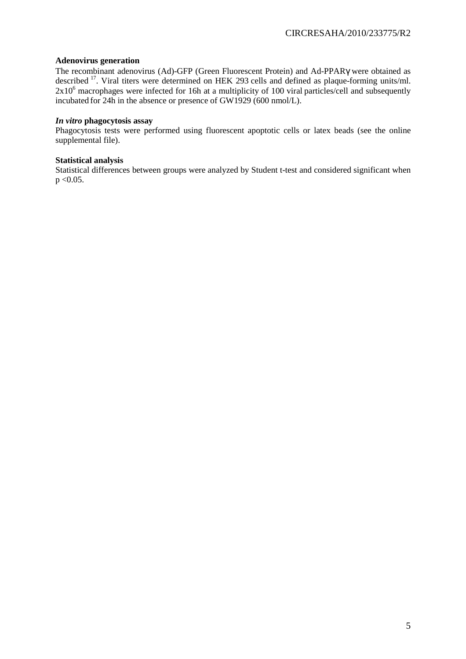#### **Adenovirus generation**

The recombinant adenovirus (Ad)-GFP (Green Fluorescent Protein) and Ad-PPARγ were obtained as described<sup>17</sup>. Viral titers were determined on HEK 293 cells and defined as plaque-forming units/ml.  $2x10<sup>6</sup>$  macrophages were infected for 16h at a multiplicity of 100 viral particles/cell and subsequently incubated for 24h in the absence or presence of GW1929 (600 nmol/L).

#### *In vitro* **phagocytosis assay**

Phagocytosis tests were performed using fluorescent apoptotic cells or latex beads (see the online supplemental file).

#### **Statistical analysis**

Statistical differences between groups were analyzed by Student t-test and considered significant when  $p < 0.05$ .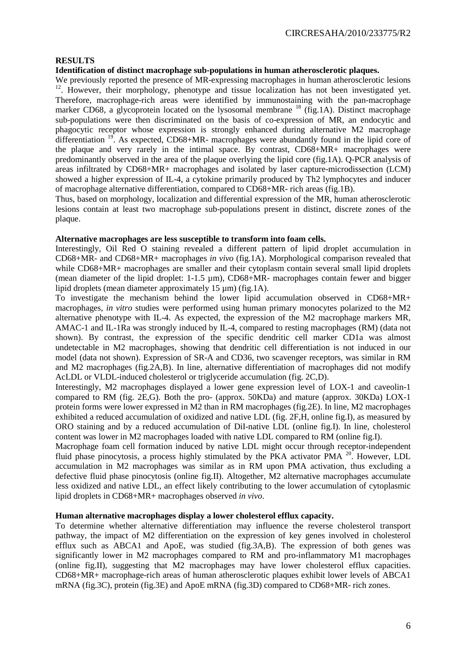#### **RESULTS**

#### **Identification of distinct macrophage sub-populations in human atherosclerotic plaques.**

We previously reported the presence of MR-expressing macrophages in human atherosclerotic lesions <sup>12</sup>. However, their morphology, phenotype and tissue localization has not been investigated yet. Therefore, macrophage-rich areas were identified by immunostaining with the pan-macrophage marker CD68, a glycoprotein located on the lysosomal membrane  $^{18}$  (fig.1A). Distinct macrophage sub-populations were then discriminated on the basis of co-expression of MR, an endocytic and phagocytic receptor whose expression is strongly enhanced during alternative M2 macrophage differentiation  $^{19}$ . As expected, CD68+MR- macrophages were abundantly found in the lipid core of the plaque and very rarely in the intimal space. By contrast, CD68+MR+ macrophages were predominantly observed in the area of the plaque overlying the lipid core (fig.1A). Q-PCR analysis of areas infiltrated by CD68+MR+ macrophages and isolated by laser capture-microdissection (LCM) showed a higher expression of IL-4, a cytokine primarily produced by Th2 lymphocytes and inducer of macrophage alternative differentiation, compared to CD68+MR- rich areas (fig.1B).

Thus, based on morphology, localization and differential expression of the MR, human atherosclerotic lesions contain at least two macrophage sub-populations present in distinct, discrete zones of the plaque.

#### **Alternative macrophages are less susceptible to transform into foam cells.**

Interestingly, Oil Red O staining revealed a different pattern of lipid droplet accumulation in CD68+MR- and CD68+MR+ macrophages *in vivo* (fig.1A). Morphological comparison revealed that while CD68+MR+ macrophages are smaller and their cytoplasm contain several small lipid droplets (mean diameter of the lipid droplet: 1-1.5 µm), CD68+MR- macrophages contain fewer and bigger lipid droplets (mean diameter approximately 15 µm) (fig.1A).

To investigate the mechanism behind the lower lipid accumulation observed in CD68+MR+ macrophages, *in vitro* studies were performed using human primary monocytes polarized to the M2 alternative phenotype with IL-4. As expected, the expression of the M2 macrophage markers MR, AMAC-1 and IL-1Ra was strongly induced by IL-4, compared to resting macrophages (RM) (data not shown). By contrast, the expression of the specific dendritic cell marker CD1a was almost undetectable in M2 macrophages, showing that dendritic cell differentiation is not induced in our model (data not shown). Expression of SR-A and CD36, two scavenger receptors, was similar in RM and M2 macrophages (fig.2A,B). In line, alternative differentiation of macrophages did not modify AcLDL or VLDL-induced cholesterol or triglyceride accumulation (fig. 2C,D).

Interestingly, M2 macrophages displayed a lower gene expression level of LOX-1 and caveolin-1 compared to RM (fig. 2E,G). Both the pro- (approx. 50KDa) and mature (approx. 30KDa) LOX-1 protein forms were lower expressed in M2 than in RM macrophages (fig.2E). In line, M2 macrophages exhibited a reduced accumulation of oxidized and native LDL (fig. 2F,H, online fig.I), as measured by ORO staining and by a reduced accumulation of DiI-native LDL (online fig.I). In line, cholesterol content was lower in M2 macrophages loaded with native LDL compared to RM (online fig.I).

Macrophage foam cell formation induced by native LDL might occur through receptor-independent fluid phase pinocytosis, a process highly stimulated by the PKA activator PMA <sup>20</sup>. However, LDL accumulation in M2 macrophages was similar as in RM upon PMA activation, thus excluding a defective fluid phase pinocytosis (online fig.II). Altogether, M2 alternative macrophages accumulate less oxidized and native LDL, an effect likely contributing to the lower accumulation of cytoplasmic lipid droplets in CD68+MR+ macrophages observed *in vivo*.

#### **Human alternative macrophages display a lower cholesterol efflux capacity.**

To determine whether alternative differentiation may influence the reverse cholesterol transport pathway, the impact of M2 differentiation on the expression of key genes involved in cholesterol efflux such as ABCA1 and ApoE, was studied (fig.3A,B). The expression of both genes was significantly lower in M2 macrophages compared to RM and pro-inflammatory M1 macrophages (online fig.II), suggesting that M2 macrophages may have lower cholesterol efflux capacities. CD68+MR+ macrophage-rich areas of human atherosclerotic plaques exhibit lower levels of ABCA1 mRNA (fig.3C), protein (fig.3E) and ApoE mRNA (fig.3D) compared to CD68+MR- rich zones.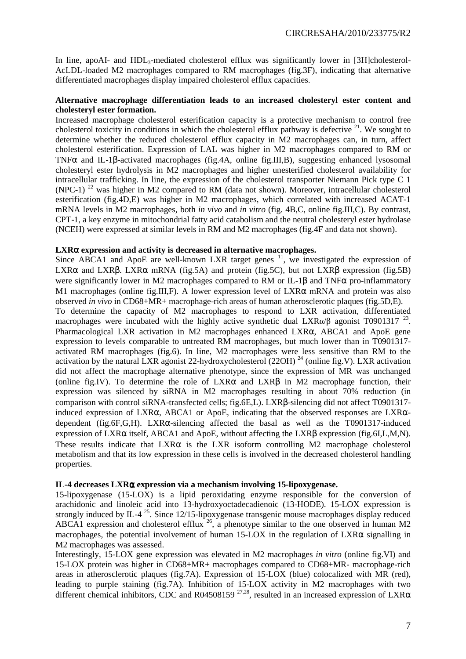In line, apoAI- and HDL<sub>3</sub>-mediated cholesterol efflux was significantly lower in [3H]cholesterol-AcLDL-loaded M2 macrophages compared to RM macrophages (fig.3F), indicating that alternative differentiated macrophages display impaired cholesterol efflux capacities.

#### **Alternative macrophage differentiation leads to an increased cholesteryl ester content and cholesteryl ester formation.**

Increased macrophage cholesterol esterification capacity is a protective mechanism to control free cholesterol toxicity in conditions in which the cholesterol efflux pathway is defective  $^{21}$ . We sought to determine whether the reduced cholesterol efflux capacity in M2 macrophages can, in turn, affect cholesterol esterification. Expression of LAL was higher in M2 macrophages compared to RM or TNFα and IL-1β-activated macrophages (fig.4A, online fig.III,B), suggesting enhanced lysosomal cholesteryl ester hydrolysis in M2 macrophages and higher unesterified cholesterol availability for intracellular trafficking. In line, the expression of the cholesterol transporter Niemann Pick type C 1 (NPC-1) <sup>22</sup> was higher in M2 compared to RM (data not shown). Moreover, intracellular cholesterol esterification (fig.4D,E) was higher in M2 macrophages, which correlated with increased ACAT-1 mRNA levels in M2 macrophages, both *in vivo* and *in vitro* (fig. 4B,C, online fig.III,C). By contrast, CPT-1, a key enzyme in mitochondrial fatty acid catabolism and the neutral cholesteryl ester hydrolase (NCEH) were expressed at similar levels in RM and M2 macrophages (fig.4F and data not shown).

#### **LXR**α **expression and activity is decreased in alternative macrophages.**

Since ABCA1 and ApoE are well-known LXR target genes  $\frac{11}{1}$ , we investigated the expression of LXR $\alpha$  and LXR $\beta$ . LXR $\alpha$  mRNA (fig.5A) and protein (fig.5C), but not LXR $\beta$  expression (fig.5B) were significantly lower in M2 macrophages compared to RM or IL-1 $\beta$  and TNF $\alpha$  pro-inflammatory M1 macrophages (online fig.III,F). A lower expression level of LXR $\alpha$  mRNA and protein was also observed *in vivo* in CD68+MR+ macrophage-rich areas of human atherosclerotic plaques (fig.5D,E). To determine the capacity of M2 macrophages to respond to LXR activation, differentiated macrophages were incubated with the highly active synthetic dual LXR $\alpha/\beta$  agonist T0901317<sup>23</sup>. Pharmacological LXR activation in M2 macrophages enhanced LXRα, ABCA1 and ApoE gene expression to levels comparable to untreated RM macrophages, but much lower than in T0901317 activated RM macrophages (fig.6). In line, M2 macrophages were less sensitive than RM to the activation by the natural LXR agonist 22-hydroxycholesterol (22OH)<sup>24</sup> (online fig.V). LXR activation did not affect the macrophage alternative phenotype, since the expression of MR was unchanged (online fig.IV). To determine the role of  $LXR\alpha$  and  $LXR\beta$  in M2 macrophage function, their expression was silenced by siRNA in M2 macrophages resulting in about 70% reduction (in comparison with control siRNA-transfected cells; fig.6E,L). LXRβ-silencing did not affect T0901317 induced expression of LXRα, ABCA1 or ApoE, indicating that the observed responses are LXRαdependent (fig.6F,G,H). LXRα-silencing affected the basal as well as the T0901317-induced expression of LXRα itself, ABCA1 and ApoE, without affecting the LXRβ expression (fig.6I,L,M,N). These results indicate that  $LXR\alpha$  is the LXR isoform controlling M2 macrophage cholesterol metabolism and that its low expression in these cells is involved in the decreased cholesterol handling properties.

#### **IL-4 decreases LXR**α **expression via a mechanism involving 15-lipoxygenase.**

15-lipoxygenase (15-LOX) is a lipid peroxidating enzyme responsible for the conversion of arachidonic and linoleic acid into 13-hydroxyoctadecadienoic (13-HODE). 15-LOX expression is strongly induced by IL-4<sup>25</sup>. Since 12/15-lipoxygenase transgenic mouse macrophages display reduced ABCA1 expression and cholesterol efflux <sup>26</sup>, a phenotype similar to the one observed in human M2 macrophages, the potential involvement of human  $15$ -LOX in the regulation of LXR $\alpha$  signalling in M2 macrophages was assessed.

Interestingly, 15-LOX gene expression was elevated in M2 macrophages *in vitro* (online fig.VI) and 15-LOX protein was higher in CD68+MR+ macrophages compared to CD68+MR- macrophage-rich areas in atherosclerotic plaques (fig.7A). Expression of 15-LOX (blue) colocalized with MR (red), leading to purple staining (fig.7A). Inhibition of 15-LOX activity in M2 macrophages with two different chemical inhibitors, CDC and R04508159<sup>27,28</sup>, resulted in an increased expression of LXR $\alpha$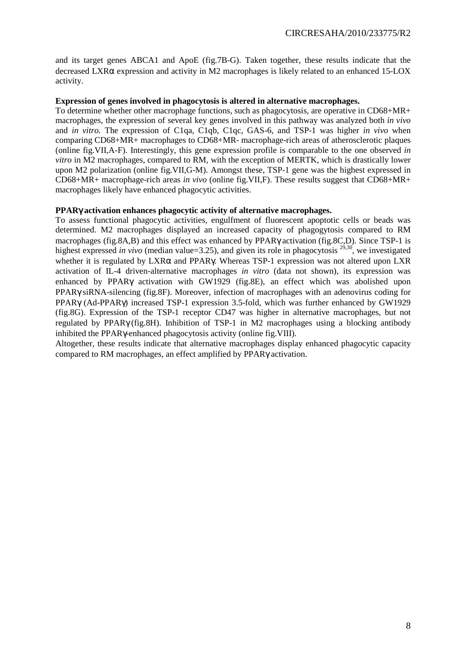and its target genes ABCA1 and ApoE (fig.7B-G). Taken together, these results indicate that the decreased LXRα expression and activity in M2 macrophages is likely related to an enhanced 15-LOX activity.

#### **Expression of genes involved in phagocytosis is altered in alternative macrophages.**

To determine whether other macrophage functions, such as phagocytosis, are operative in CD68+MR+ macrophages, the expression of several key genes involved in this pathway was analyzed both *in vivo*  and *in vitro.* The expression of C1qa, C1qb, C1qc, GAS-6, and TSP-1 was higher *in vivo* when comparing CD68+MR+ macrophages to CD68+MR- macrophage-rich areas of atherosclerotic plaques (online fig.VII,A-F). Interestingly, this gene expression profile is comparable to the one observed *in vitro* in M2 macrophages, compared to RM, with the exception of MERTK, which is drastically lower upon M2 polarization (online fig.VII,G-M). Amongst these, TSP-1 gene was the highest expressed in CD68+MR+ macrophage-rich areas *in vivo* (online fig.VII,F). These results suggest that CD68+MR+ macrophages likely have enhanced phagocytic activities.

#### **PPAR**γ **activation enhances phagocytic activity of alternative macrophages.**

To assess functional phagocytic activities, engulfment of fluorescent apoptotic cells or beads was determined. M2 macrophages displayed an increased capacity of phagogytosis compared to RM macrophages (fig.8A,B) and this effect was enhanced by PPARγ activation (fig.8C,D). Since TSP-1 is highest expressed *in vivo* (median value=3.25), and given its role in phagocytosis  $29,30$ , we investigated whether it is regulated by LXRα and PPARγ. Whereas TSP-1 expression was not altered upon LXR activation of IL-4 driven-alternative macrophages *in vitro* (data not shown), its expression was enhanced by PPARγ activation with GW1929 (fig.8E), an effect which was abolished upon PPARγ siRNA-silencing (fig.8F). Moreover, infection of macrophages with an adenovirus coding for PPARγ (Ad-PPARγ) increased TSP-1 expression 3.5-fold, which was further enhanced by GW1929 (fig.8G). Expression of the TSP-1 receptor CD47 was higher in alternative macrophages, but not regulated by PPARγ (fig.8H). Inhibition of TSP-1 in M2 macrophages using a blocking antibody inhibited the PPARγ-enhanced phagocytosis activity (online fig.VIII).

Altogether, these results indicate that alternative macrophages display enhanced phagocytic capacity compared to RM macrophages, an effect amplified by PPARγ activation.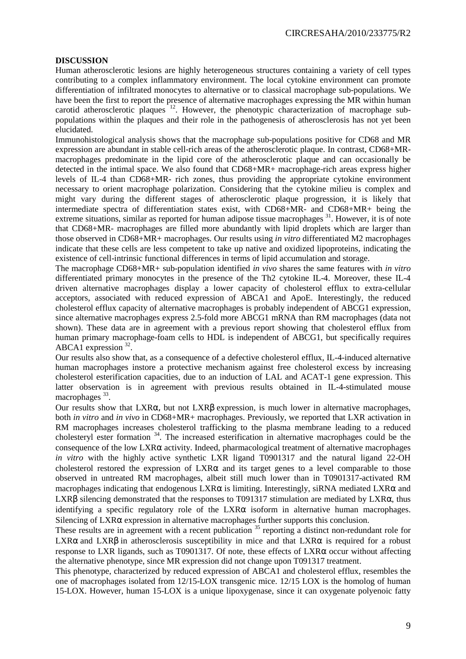#### **DISCUSSION**

Human atherosclerotic lesions are highly heterogeneous structures containing a variety of cell types contributing to a complex inflammatory environment. The local cytokine environment can promote differentiation of infiltrated monocytes to alternative or to classical macrophage sub-populations. We have been the first to report the presence of alternative macrophages expressing the MR within human carotid atherosclerotic plaques <sup>12</sup>. However, the phenotypic characterization of macrophage subpopulations within the plaques and their role in the pathogenesis of atherosclerosis has not yet been elucidated.

Immunohistological analysis shows that the macrophage sub-populations positive for CD68 and MR expression are abundant in stable cell-rich areas of the atherosclerotic plaque. In contrast, CD68+MRmacrophages predominate in the lipid core of the atherosclerotic plaque and can occasionally be detected in the intimal space. We also found that CD68+MR+ macrophage-rich areas express higher levels of IL-4 than CD68+MR- rich zones, thus providing the appropriate cytokine environment necessary to orient macrophage polarization. Considering that the cytokine milieu is complex and might vary during the different stages of atherosclerotic plaque progression, it is likely that intermediate spectra of differentiation states exist, with CD68+MR- and CD68+MR+ being the extreme situations, similar as reported for human adipose tissue macrophages <sup>31</sup>. However, it is of note that CD68+MR- macrophages are filled more abundantly with lipid droplets which are larger than those observed in CD68+MR+ macrophages. Our results using *in vitro* differentiated M2 macrophages indicate that these cells are less competent to take up native and oxidized lipoproteins, indicating the existence of cell-intrinsic functional differences in terms of lipid accumulation and storage.

The macrophage CD68+MR+ sub-population identified *in vivo* shares the same features with *in vitro* differentiated primary monocytes in the presence of the Th2 cytokine IL-4. Moreover, these IL-4 driven alternative macrophages display a lower capacity of cholesterol efflux to extra-cellular acceptors, associated with reduced expression of ABCA1 and ApoE. Interestingly, the reduced cholesterol efflux capacity of alternative macrophages is probably independent of ABCG1 expression, since alternative macrophages express 2.5-fold more ABCG1 mRNA than RM macrophages (data not shown). These data are in agreement with a previous report showing that cholesterol efflux from human primary macrophage-foam cells to HDL is independent of ABCG1, but specifically requires ABCA1 expression <sup>32</sup>.

Our results also show that, as a consequence of a defective cholesterol efflux, IL-4-induced alternative human macrophages instore a protective mechanism against free cholesterol excess by increasing cholesterol esterification capacities, due to an induction of LAL and ACAT-1 gene expression. This latter observation is in agreement with previous results obtained in IL-4-stimulated mouse macrophages<sup>33</sup>.

Our results show that  $LXR\alpha$ , but not  $LXR\beta$  expression, is much lower in alternative macrophages, both *in vitro* and *in vivo* in CD68+MR+ macrophages. Previously, we reported that LXR activation in RM macrophages increases cholesterol trafficking to the plasma membrane leading to a reduced cholesteryl ester formation <sup>34</sup>. The increased esterification in alternative macrophages could be the consequence of the low LXRα activity. Indeed, pharmacological treatment of alternative macrophages *in vitro* with the highly active synthetic LXR ligand T0901317 and the natural ligand 22-OH cholesterol restored the expression of  $LXR\alpha$  and its target genes to a level comparable to those observed in untreated RM macrophages, albeit still much lower than in T0901317-activated RM macrophages indicating that endogenous  $LXR\alpha$  is limiting. Interestingly, siRNA mediated  $LXR\alpha$  and LXRβ silencing demonstrated that the responses to T091317 stimulation are mediated by LXRα, thus identifying a specific regulatory role of the  $LXR\alpha$  isoform in alternative human macrophages. Silencing of LXRα expression in alternative macrophages further supports this conclusion.

These results are in agreement with a recent publication <sup>35</sup> reporting a distinct non-redundant role for LXR $\alpha$  and LXR $\beta$  in atherosclerosis susceptibility in mice and that LXR $\alpha$  is required for a robust response to LXR ligands, such as T0901317. Of note, these effects of LXR $\alpha$  occur without affecting the alternative phenotype, since MR expression did not change upon T091317 treatment.

This phenotype, characterized by reduced expression of ABCA1 and cholesterol efflux, resembles the one of macrophages isolated from 12/15-LOX transgenic mice. 12/15 LOX is the homolog of human 15-LOX. However, human 15-LOX is a unique lipoxygenase, since it can oxygenate polyenoic fatty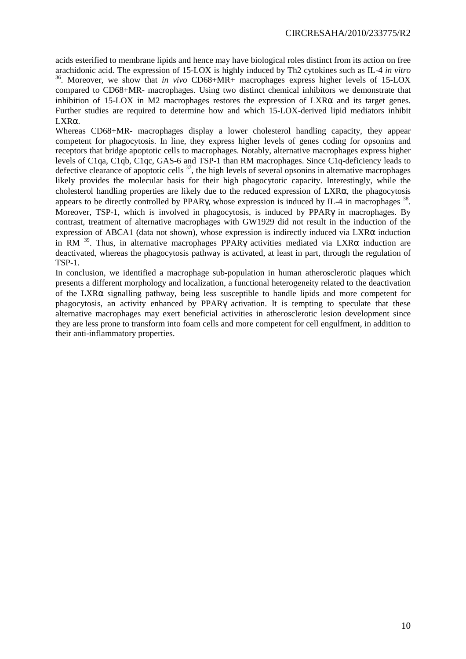acids esterified to membrane lipids and hence may have biological roles distinct from its action on free arachidonic acid. The expression of 15-LOX is highly induced by Th2 cytokines such as IL-4 *in vitro* <sup>36</sup>. Moreover, we show that *in vivo* CD68+MR+ macrophages express higher levels of 15-LOX compared to CD68+MR- macrophages. Using two distinct chemical inhibitors we demonstrate that inhibition of 15-LOX in M2 macrophages restores the expression of  $LXR\alpha$  and its target genes. Further studies are required to determine how and which 15-LOX-derived lipid mediators inhibit LXRα.

Whereas CD68+MR- macrophages display a lower cholesterol handling capacity, they appear competent for phagocytosis. In line, they express higher levels of genes coding for opsonins and receptors that bridge apoptotic cells to macrophages. Notably, alternative macrophages express higher levels of C1qa, C1qb, C1qc, GAS-6 and TSP-1 than RM macrophages. Since C1q-deficiency leads to defective clearance of apoptotic cells  $37$ , the high levels of several opsonins in alternative macrophages likely provides the molecular basis for their high phagocytotic capacity. Interestingly, while the cholesterol handling properties are likely due to the reduced expression of LXRα, the phagocytosis appears to be directly controlled by PPAR $\gamma$ , whose expression is induced by IL-4 in macrophages  $^{38}$ . Moreover, TSP-1, which is involved in phagocytosis, is induced by PPARγ in macrophages. By contrast, treatment of alternative macrophages with GW1929 did not result in the induction of the expression of ABCA1 (data not shown), whose expression is indirectly induced via  $LXR\alpha$  induction in RM  $39$ . Thus, in alternative macrophages PPAR $\gamma$  activities mediated via LXR $\alpha$  induction are deactivated, whereas the phagocytosis pathway is activated, at least in part, through the regulation of TSP-1.

In conclusion, we identified a macrophage sub-population in human atherosclerotic plaques which presents a different morphology and localization, a functional heterogeneity related to the deactivation of the LXRα signalling pathway, being less susceptible to handle lipids and more competent for phagocytosis, an activity enhanced by PPARγ activation. It is tempting to speculate that these alternative macrophages may exert beneficial activities in atherosclerotic lesion development since they are less prone to transform into foam cells and more competent for cell engulfment, in addition to their anti-inflammatory properties.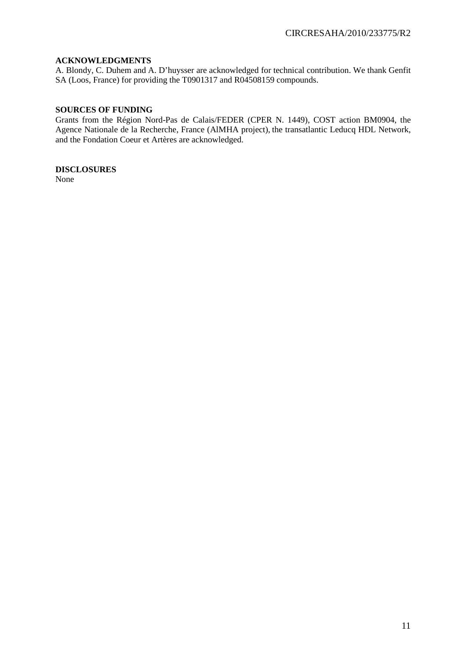#### **ACKNOWLEDGMENTS**

A. Blondy, C. Duhem and A. D'huysser are acknowledged for technical contribution. We thank Genfit SA (Loos, France) for providing the T0901317 and R04508159 compounds.

#### **SOURCES OF FUNDING**

Grants from the Région Nord-Pas de Calais/FEDER (CPER N. 1449), COST action BM0904, the Agence Nationale de la Recherche, France (AlMHA project), the transatlantic Leducq HDL Network, and the Fondation Coeur et Artères are acknowledged.

**DISCLOSURES** 

None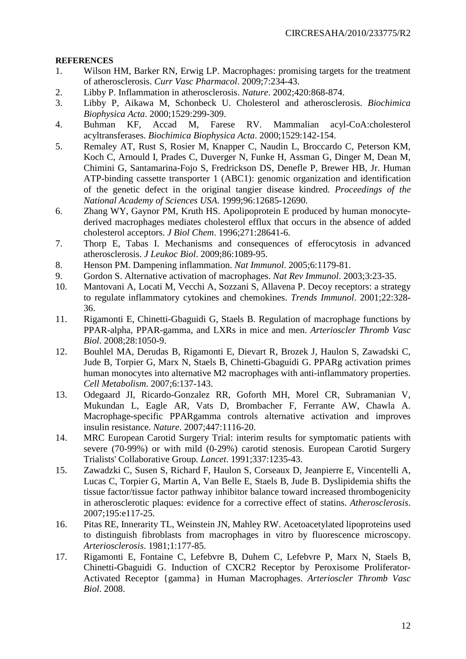#### **REFERENCES**

- 1. Wilson HM, Barker RN, Erwig LP. Macrophages: promising targets for the treatment of atherosclerosis. *Curr Vasc Pharmacol*. 2009;7:234-43.
- 2. Libby P. Inflammation in atherosclerosis. *Nature*. 2002;420:868-874.
- 3. Libby P, Aikawa M, Schonbeck U. Cholesterol and atherosclerosis. *Biochimica Biophysica Acta*. 2000;1529:299-309.
- 4. Buhman KF, Accad M, Farese RV. Mammalian acyl-CoA:cholesterol acyltransferases. *Biochimica Biophysica Acta*. 2000;1529:142-154.
- 5. Remaley AT, Rust S, Rosier M, Knapper C, Naudin L, Broccardo C, Peterson KM, Koch C, Arnould I, Prades C, Duverger N, Funke H, Assman G, Dinger M, Dean M, Chimini G, Santamarina-Fojo S, Fredrickson DS, Denefle P, Brewer HB, Jr. Human ATP-binding cassette transporter 1 (ABC1): genomic organization and identification of the genetic defect in the original tangier disease kindred. *Proceedings of the National Academy of Sciences USA*. 1999;96:12685-12690.
- 6. Zhang WY, Gaynor PM, Kruth HS. Apolipoprotein E produced by human monocytederived macrophages mediates cholesterol efflux that occurs in the absence of added cholesterol acceptors. *J Biol Chem*. 1996;271:28641-6.
- 7. Thorp E, Tabas I. Mechanisms and consequences of efferocytosis in advanced atherosclerosis. *J Leukoc Biol*. 2009;86:1089-95.
- 8. Henson PM. Dampening inflammation. *Nat Immunol*. 2005;6:1179-81.
- 9. Gordon S. Alternative activation of macrophages. *Nat Rev Immunol*. 2003;3:23-35.
- 10. Mantovani A, Locati M, Vecchi A, Sozzani S, Allavena P. Decoy receptors: a strategy to regulate inflammatory cytokines and chemokines. *Trends Immunol*. 2001;22:328- 36.
- 11. Rigamonti E, Chinetti-Gbaguidi G, Staels B. Regulation of macrophage functions by PPAR-alpha, PPAR-gamma, and LXRs in mice and men. *Arterioscler Thromb Vasc Biol*. 2008;28:1050-9.
- 12. Bouhlel MA, Derudas B, Rigamonti E, Dievart R, Brozek J, Haulon S, Zawadski C, Jude B, Torpier G, Marx N, Staels B, Chinetti-Gbaguidi G. PPARg activation primes human monocytes into alternative M2 macrophages with anti-inflammatory properties. *Cell Metabolism*. 2007;6:137-143.
- 13. Odegaard JI, Ricardo-Gonzalez RR, Goforth MH, Morel CR, Subramanian V, Mukundan L, Eagle AR, Vats D, Brombacher F, Ferrante AW, Chawla A. Macrophage-specific PPARgamma controls alternative activation and improves insulin resistance. *Nature*. 2007;447:1116-20.
- 14. MRC European Carotid Surgery Trial: interim results for symptomatic patients with severe (70-99%) or with mild (0-29%) carotid stenosis. European Carotid Surgery Trialists' Collaborative Group. *Lancet*. 1991;337:1235-43.
- 15. Zawadzki C, Susen S, Richard F, Haulon S, Corseaux D, Jeanpierre E, Vincentelli A, Lucas C, Torpier G, Martin A, Van Belle E, Staels B, Jude B. Dyslipidemia shifts the tissue factor/tissue factor pathway inhibitor balance toward increased thrombogenicity in atherosclerotic plaques: evidence for a corrective effect of statins. *Atherosclerosis*. 2007;195:e117-25.
- 16. Pitas RE, Innerarity TL, Weinstein JN, Mahley RW. Acetoacetylated lipoproteins used to distinguish fibroblasts from macrophages in vitro by fluorescence microscopy. *Arteriosclerosis*. 1981;1:177-85.
- 17. Rigamonti E, Fontaine C, Lefebvre B, Duhem C, Lefebvre P, Marx N, Staels B, Chinetti-Gbaguidi G. Induction of CXCR2 Receptor by Peroxisome Proliferator-Activated Receptor {gamma} in Human Macrophages. *Arterioscler Thromb Vasc Biol*. 2008.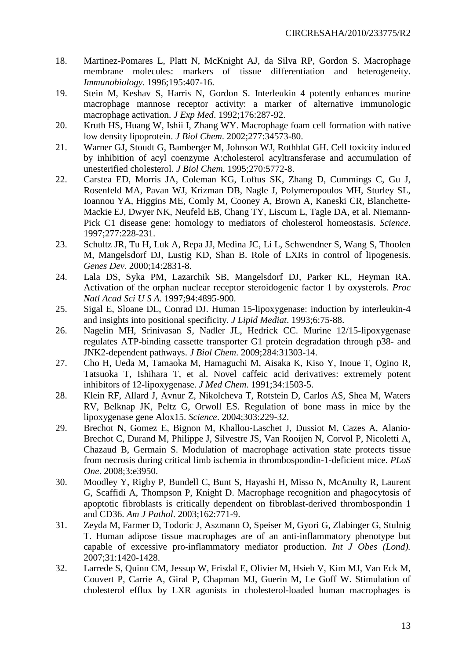- 18. Martinez-Pomares L, Platt N, McKnight AJ, da Silva RP, Gordon S. Macrophage membrane molecules: markers of tissue differentiation and heterogeneity. *Immunobiology*. 1996;195:407-16.
- 19. Stein M, Keshav S, Harris N, Gordon S. Interleukin 4 potently enhances murine macrophage mannose receptor activity: a marker of alternative immunologic macrophage activation. *J Exp Med*. 1992;176:287-92.
- 20. Kruth HS, Huang W, Ishii I, Zhang WY. Macrophage foam cell formation with native low density lipoprotein. *J Biol Chem*. 2002;277:34573-80.
- 21. Warner GJ, Stoudt G, Bamberger M, Johnson WJ, Rothblat GH. Cell toxicity induced by inhibition of acyl coenzyme A:cholesterol acyltransferase and accumulation of unesterified cholesterol. *J Biol Chem*. 1995;270:5772-8.
- 22. Carstea ED, Morris JA, Coleman KG, Loftus SK, Zhang D, Cummings C, Gu J, Rosenfeld MA, Pavan WJ, Krizman DB, Nagle J, Polymeropoulos MH, Sturley SL, Ioannou YA, Higgins ME, Comly M, Cooney A, Brown A, Kaneski CR, Blanchette-Mackie EJ, Dwyer NK, Neufeld EB, Chang TY, Liscum L, Tagle DA, et al. Niemann-Pick C1 disease gene: homology to mediators of cholesterol homeostasis. *Science*. 1997;277:228-231.
- 23. Schultz JR, Tu H, Luk A, Repa JJ, Medina JC, Li L, Schwendner S, Wang S, Thoolen M, Mangelsdorf DJ, Lustig KD, Shan B. Role of LXRs in control of lipogenesis. *Genes Dev*. 2000;14:2831-8.
- 24. Lala DS, Syka PM, Lazarchik SB, Mangelsdorf DJ, Parker KL, Heyman RA. Activation of the orphan nuclear receptor steroidogenic factor 1 by oxysterols. *Proc Natl Acad Sci U S A*. 1997;94:4895-900.
- 25. Sigal E, Sloane DL, Conrad DJ. Human 15-lipoxygenase: induction by interleukin-4 and insights into positional specificity. *J Lipid Mediat*. 1993;6:75-88.
- 26. Nagelin MH, Srinivasan S, Nadler JL, Hedrick CC. Murine 12/15-lipoxygenase regulates ATP-binding cassette transporter G1 protein degradation through p38- and JNK2-dependent pathways. *J Biol Chem*. 2009;284:31303-14.
- 27. Cho H, Ueda M, Tamaoka M, Hamaguchi M, Aisaka K, Kiso Y, Inoue T, Ogino R, Tatsuoka T, Ishihara T, et al. Novel caffeic acid derivatives: extremely potent inhibitors of 12-lipoxygenase. *J Med Chem*. 1991;34:1503-5.
- 28. Klein RF, Allard J, Avnur Z, Nikolcheva T, Rotstein D, Carlos AS, Shea M, Waters RV, Belknap JK, Peltz G, Orwoll ES. Regulation of bone mass in mice by the lipoxygenase gene Alox15. *Science*. 2004;303:229-32.
- 29. Brechot N, Gomez E, Bignon M, Khallou-Laschet J, Dussiot M, Cazes A, Alanio-Brechot C, Durand M, Philippe J, Silvestre JS, Van Rooijen N, Corvol P, Nicoletti A, Chazaud B, Germain S. Modulation of macrophage activation state protects tissue from necrosis during critical limb ischemia in thrombospondin-1-deficient mice. *PLoS One*. 2008;3:e3950.
- 30. Moodley Y, Rigby P, Bundell C, Bunt S, Hayashi H, Misso N, McAnulty R, Laurent G, Scaffidi A, Thompson P, Knight D. Macrophage recognition and phagocytosis of apoptotic fibroblasts is critically dependent on fibroblast-derived thrombospondin 1 and CD36. *Am J Pathol*. 2003;162:771-9.
- 31. Zeyda M, Farmer D, Todoric J, Aszmann O, Speiser M, Gyori G, Zlabinger G, Stulnig T. Human adipose tissue macrophages are of an anti-inflammatory phenotype but capable of excessive pro-inflammatory mediator production. *Int J Obes (Lond).* 2007;31:1420-1428.
- 32. Larrede S, Quinn CM, Jessup W, Frisdal E, Olivier M, Hsieh V, Kim MJ, Van Eck M, Couvert P, Carrie A, Giral P, Chapman MJ, Guerin M, Le Goff W. Stimulation of cholesterol efflux by LXR agonists in cholesterol-loaded human macrophages is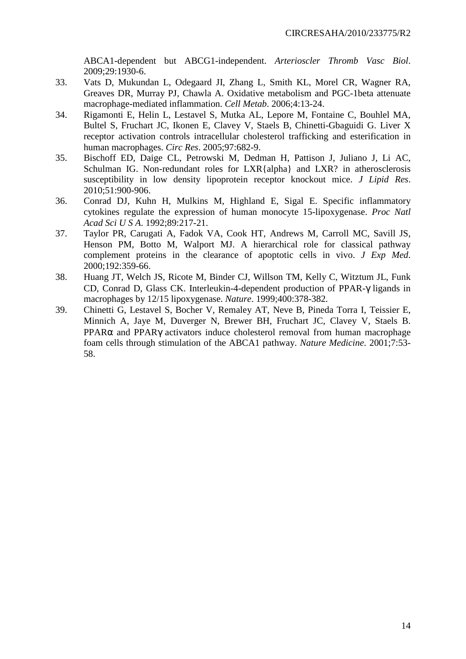ABCA1-dependent but ABCG1-independent. *Arterioscler Thromb Vasc Biol*. 2009;29:1930-6.

- 33. Vats D, Mukundan L, Odegaard JI, Zhang L, Smith KL, Morel CR, Wagner RA, Greaves DR, Murray PJ, Chawla A. Oxidative metabolism and PGC-1beta attenuate macrophage-mediated inflammation. *Cell Metab*. 2006;4:13-24.
- 34. Rigamonti E, Helin L, Lestavel S, Mutka AL, Lepore M, Fontaine C, Bouhlel MA, Bultel S, Fruchart JC, Ikonen E, Clavey V, Staels B, Chinetti-Gbaguidi G. Liver X receptor activation controls intracellular cholesterol trafficking and esterification in human macrophages. *Circ Res*. 2005;97:682-9.
- 35. Bischoff ED, Daige CL, Petrowski M, Dedman H, Pattison J, Juliano J, Li AC, Schulman IG. Non-redundant roles for LXR{alpha} and LXR? in atherosclerosis susceptibility in low density lipoprotein receptor knockout mice. *J Lipid Res*. 2010;51:900-906.
- 36. Conrad DJ, Kuhn H, Mulkins M, Highland E, Sigal E. Specific inflammatory cytokines regulate the expression of human monocyte 15-lipoxygenase. *Proc Natl Acad Sci U S A*. 1992;89:217-21.
- 37. Taylor PR, Carugati A, Fadok VA, Cook HT, Andrews M, Carroll MC, Savill JS, Henson PM, Botto M, Walport MJ. A hierarchical role for classical pathway complement proteins in the clearance of apoptotic cells in vivo. *J Exp Med*. 2000;192:359-66.
- 38. Huang JT, Welch JS, Ricote M, Binder CJ, Willson TM, Kelly C, Witztum JL, Funk CD, Conrad D, Glass CK. Interleukin-4-dependent production of PPAR-γ ligands in macrophages by 12/15 lipoxygenase. *Nature*. 1999;400:378-382.
- 39. Chinetti G, Lestavel S, Bocher V, Remaley AT, Neve B, Pineda Torra I, Teissier E, Minnich A, Jaye M, Duverger N, Brewer BH, Fruchart JC, Clavey V, Staels B. PPARα and PPARγ activators induce cholesterol removal from human macrophage foam cells through stimulation of the ABCA1 pathway. *Nature Medicine*. 2001;7:53- 58.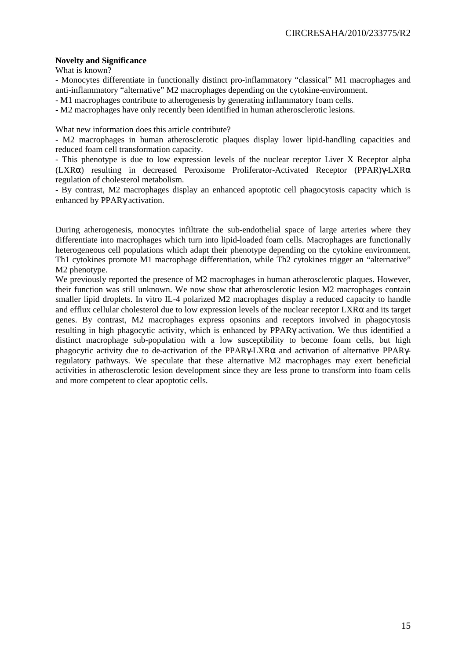#### **Novelty and Significance**

What is known?

- Monocytes differentiate in functionally distinct pro-inflammatory "classical" M1 macrophages and anti-inflammatory "alternative" M2 macrophages depending on the cytokine-environment.

- M1 macrophages contribute to atherogenesis by generating inflammatory foam cells.

- M2 macrophages have only recently been identified in human atherosclerotic lesions.

What new information does this article contribute?

- M2 macrophages in human atherosclerotic plaques display lower lipid-handling capacities and reduced foam cell transformation capacity.

- This phenotype is due to low expression levels of the nuclear receptor Liver X Receptor alpha (LXRα) resulting in decreased Peroxisome Proliferator-Activated Receptor (PPAR)γ-LXRα regulation of cholesterol metabolism.

- By contrast, M2 macrophages display an enhanced apoptotic cell phagocytosis capacity which is enhanced by PPARγ activation.

During atherogenesis, monocytes infiltrate the sub-endothelial space of large arteries where they differentiate into macrophages which turn into lipid-loaded foam cells. Macrophages are functionally heterogeneous cell populations which adapt their phenotype depending on the cytokine environment. Th1 cytokines promote M1 macrophage differentiation, while Th2 cytokines trigger an "alternative" M2 phenotype.

We previously reported the presence of M2 macrophages in human atherosclerotic plaques. However, their function was still unknown. We now show that atherosclerotic lesion M2 macrophages contain smaller lipid droplets. In vitro IL-4 polarized M2 macrophages display a reduced capacity to handle and efflux cellular cholesterol due to low expression levels of the nuclear receptor  $LXR\alpha$  and its target genes. By contrast, M2 macrophages express opsonins and receptors involved in phagocytosis resulting in high phagocytic activity, which is enhanced by PPARγ activation. We thus identified a distinct macrophage sub-population with a low susceptibility to become foam cells, but high phagocytic activity due to de-activation of the PPARγ-LXRα and activation of alternative PPARγregulatory pathways. We speculate that these alternative M2 macrophages may exert beneficial activities in atherosclerotic lesion development since they are less prone to transform into foam cells and more competent to clear apoptotic cells.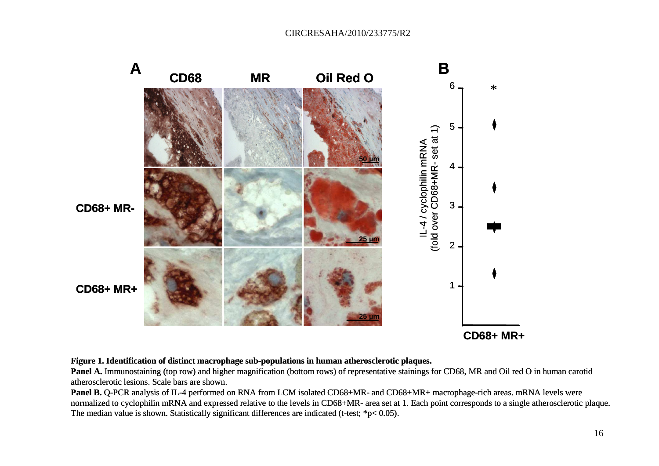

**Figure 1. Identification of distinct macrophage sub-populations in human atherosclerotic plaques.**

**Panel A.** Immunostaining (top row) and higher magnification (bottom rows) of representative stainings for CD68, MR and Oil red O in human carotid atherosclerotic lesions. Scale bars are shown.

**Panel B.** Q-PCR analysis of IL-4 performed on RNA from LCM isolated CD68+MR- and CD68+MR+ macrophage-rich areas. mRNA levels were normalized to cyclophilin mRNA and expressed relative to the levels in CD68+MR- area set at 1. Each point corresponds to a single atherosclerotic plaque. The median value is shown. Statistically significant differences are indicated (t-test; \*p< 0.05).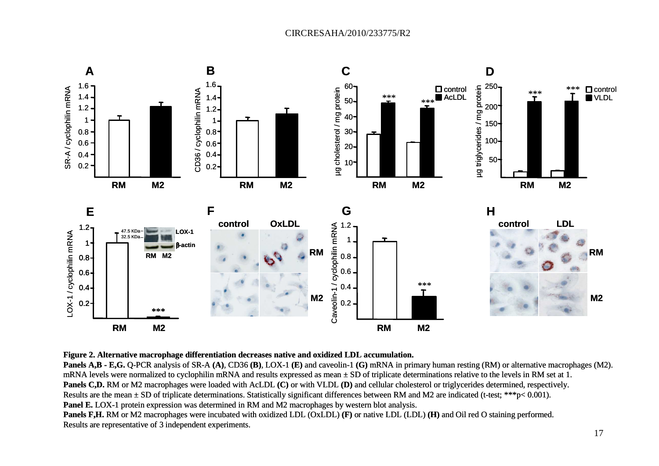

#### **Figure 2. Alternative macrophage differentiation decreases native and oxidized LDL accumulation.**

 **Panels A,B - E,G.** Q-PCR analysis of SR-A **(A)**, CD36 **(B)**, LOX-1 **(E)** and caveolin-1 **(G)** mRNA in primary human resting (RM) or alternative macrophages (M2). mRNA levels were normalized to cyclophilin mRNA and results expressed as mean  $\pm$  SD of triplicate determinations relative to the levels in RM set at 1. **Panels C,D.** RM or M2 macrophages were loaded with AcLDL **(C)** or with VLDL **(D)** and cellular cholesterol or triglycerides determined, respectively. Results are the mean  $\pm$  SD of triplicate determinations. Statistically significant differences between RM and M2 are indicated (t-test; \*\*\*p< 0.001). **Panel E.** LOX-1 protein expression was determined in RM and M2 macrophages by western blot analysis. **Panels F,H.** RM or M2 macrophages were incubated with oxidized LDL (OxLDL) **(F)** or native LDL (LDL) **(H)** and Oil red O staining performed. Results are representative of 3 independent experiments.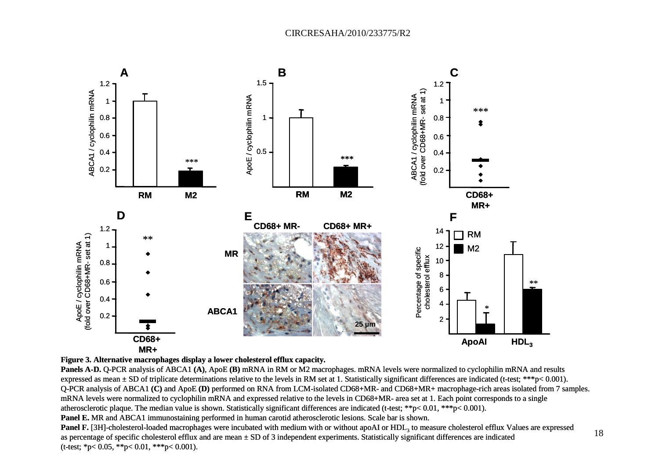



**Panels A-D.** Q-PCR analysis of ABCA1 **(A)**, ApoE **(B)** mRNA in RM or M2 macrophages. mRNA levels were normalized to cyclophilin mRNA and results expressed as mean  $\pm$  SD of triplicate determinations relative to the levels in RM set at 1. Statistically significant differences are indicated (t-test; \*\*\*p< 0.001). Q-PCR analysis of ABCA1 **(C)** and ApoE **(D)** performed on RNA from LCM-isolated CD68+MR- and CD68+MR+ macrophage-rich areas isolated from 7 samples. mRNA levels were normalized to cyclophilin mRNA and expressed relative to the levels in CD68+MR- area set at 1. Each point corresponds to a single atherosclerotic plaque. The median value is shown. Statistically significant differences are indicated (t-test; \*\*p< 0.01, \*\*\*p< 0.001). **Panel E.** MR and ABCA1 immunostaining performed in human carotid atherosclerotic lesions. Scale bar is shown.

18

**Panel F.** [3H]-cholesterol-loaded macrophages were incubated with medium with or without apoAI or HDL<sub>3</sub> to measure cholesterol efflux Values are expressed as percentage of specific cholesterol efflux and are mean ± SD of 3 independent experiments. Statistically significant differences are indicated (t-test; \*p< 0.05, \*\*p< 0.01, \*\*\*p< 0.001).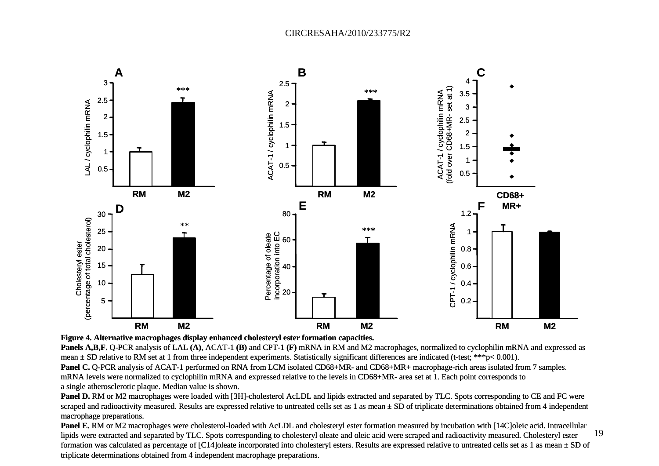

**Figure 4. Alternative macrophages display enhanced cholesteryl ester formation capacities.**

**Panels A,B,F.** Q-PCR analysis of LAL **(A)**, ACAT-1 **(B)** and CPT-1 **(F)** mRNA in RM and M2 macrophages, normalized to cyclophilin mRNA and expressed as mean ± SD relative to RM set at 1 from three independent experiments. Statistically significant differences are indicated (t-test; \*\*\*p< 0.001).

**Panel C. O-PCR** analysis of ACAT-1 performed on RNA from LCM isolated CD68+MR- and CD68+MR+ macrophage-rich areas isolated from 7 samples. mRNA levels were normalized to cyclophilin mRNA and expressed relative to the levels in CD68+MR- area set at 1. Each point corresponds to a single atherosclerotic plaque. Median value is shown.

Panel D. RM or M2 macrophages were loaded with [3H]-cholesterol AcLDL and lipids extracted and separated by TLC. Spots corresponding to CE and FC were scraped and radioactivity measured. Results are expressed relative to untreated cells set as 1 as mean  $\pm$  SD of triplicate determinations obtained from 4 independent macrophage preparations.

19Panel E. RM or M2 macrophages were cholesterol-loaded with AcLDL and cholesteryl ester formation measured by incubation with [14C]oleic acid. Intracellular lipids were extracted and separated by TLC. Spots corresponding to cholesteryl oleate and oleic acid were scraped and radioactivity measured. Cholesteryl ester formation was calculated as percentage of [C14]oleate incorporated into cholesteryl esters. Results are expressed relative to untreated cells set as 1 as mean ± SD of triplicate determinations obtained from 4 independent macrophage preparations.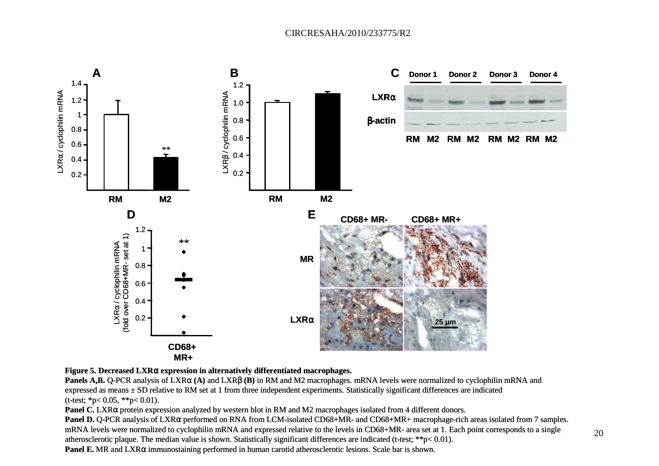

## **Figure 5. Decreased LXR**α **expression in alternatively differentiated macrophages.**

**Panels A,B.** Q-PCR analysis of LXR<sup>α</sup> **(A)** and LXRβ **(B)** in RM and M2 macrophages. mRNA levels were normalized to cyclophilin mRNA and expressed as means  $\pm$  SD relative to RM set at 1 from three independent experiments. Statistically significant differences are indicated  $(t-test; *p<0.05, **p<0.01).$ 

**Panel C.** LXR<sup>α</sup> protein expression analyzed by western blot in RM and M2 macrophages isolated from 4 different donors.

**Panel D.** Q-PCR analysis of LXRα performed on RNA from LCM-isolated CD68+MR- and CD68+MR+ macrophage-rich areas isolated from 7 samples. mRNA levels were normalized to cyclophilin mRNA and expressed relative to the levels in CD68+MR- area set at 1. Each point corresponds to a single atherosclerotic plaque. The median value is shown. Statistically significant differences are indicated (t-test; \*\*p< 0.01).**Panel E.** MR and LXRα immunostaining performed in human carotid atherosclerotic lesions. Scale bar is shown.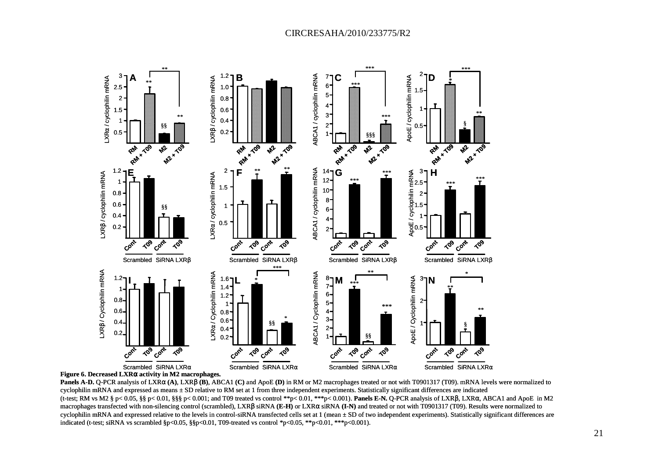



**Panels A-D.** Q-PCR analysis of LXRα **(A)**, LXRβ **(B)**, ABCA1 **(C)** and ApoE **(D)** in RM or M2 macrophages treated or not with T0901317 (T09). mRNA levels were normalized to cyclophilin mRNA and expressed as means  $\pm$  SD relative to RM set at 1 from three independent experiments. Statistically significant differences are indicated (t-test; RM vs M2 § p< 0.05, §§ p< 0.01, §§§ p< 0.001; and T09 treated vs control \*\*p< 0.01, \*\*\*p< 0.001). **Panels E-N.** Q-PCR analysis of LXRβ, LXR<sup>α</sup>, ABCA1 and ApoE in M2 macrophages transfected with non-silencing control (scrambled), LXRβ siRNA **(E-H)** or LXRα siRNA **(I-N)** and treated or not with T0901317 (T09). Results were normalized to cyclophilin mRNA and expressed relative to the levels in control-siRNA transfected cells set at 1 (mean ± SD of two independent experiments). Statistically significant differences are indicated (t-test; siRNA vs scrambled  $p<0.05$ ,  $p<0.01$ , T09-treated vs control \*p<0.05, \*\*p<0.01, \*\*\*p<0.001).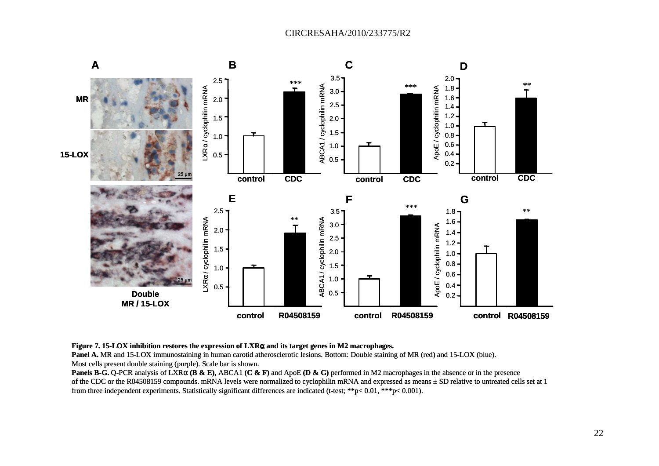

**Figure 7. 15-LOX inhibition restores the expression of LXR**α **and its target genes in M2 macrophages.**

**Panel A.** MR and 15-LOX immunostaining in human carotid atherosclerotic lesions. Bottom: Double staining of MR (red) and 15-LOX (blue). Most cells present double staining (purple). Scale bar is shown.

**Panels B-G.** Q-PCR analysis of LXR<sup>α</sup> **(B & E)**, ABCA1 **(C & F)** and ApoE **(D & G)** performed in M2 macrophages in the absence or in the presence of the CDC or the R04508159 compounds. mRNA levels were normalized to cyclophilin mRNA and expressed as means ± SD relative to untreated cells set at 1 from three independent experiments. Statistically significant differences are indicated (t-test; \*\*p< 0.01, \*\*\*p< 0.001).